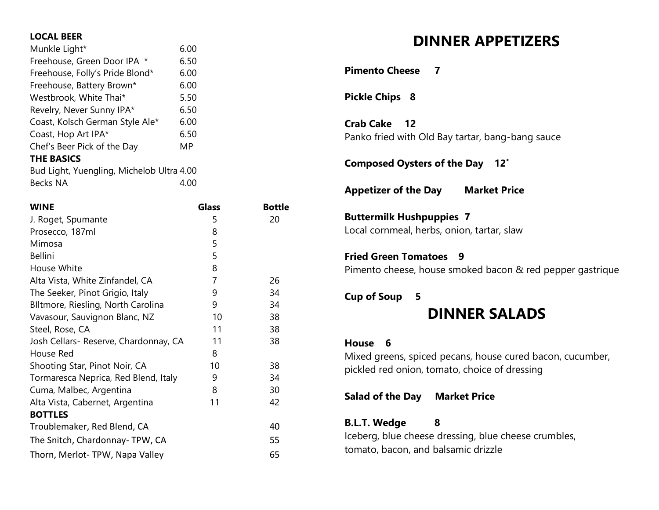#### **LOCAL BEER**

| Munkle Light*                             | 6.00 |
|-------------------------------------------|------|
| Freehouse, Green Door IPA                 | 6.50 |
| Freehouse, Folly's Pride Blond*           | 6.00 |
| Freehouse, Battery Brown*                 | 6.00 |
| Westbrook, White Thai*                    | 5.50 |
| Revelry, Never Sunny IPA*                 | 6.50 |
| Coast, Kolsch German Style Ale*           | 6.00 |
| Coast, Hop Art IPA*                       | 6.50 |
| Chef's Beer Pick of the Day               | MP   |
| <b>THE BASICS</b>                         |      |
| Bud Light, Yuengling, Michelob Ultra 4.00 |      |
| <b>Becks NA</b>                           |      |

| <b>WINE</b>                           | <b>Glass</b> | <b>Bottle</b> |
|---------------------------------------|--------------|---------------|
| J. Roget, Spumante                    | 5            | 20            |
| Prosecco, 187ml                       | 8            |               |
| Mimosa                                | 5            |               |
| <b>Bellini</b>                        | 5            |               |
| <b>House White</b>                    | 8            |               |
| Alta Vista, White Zinfandel, CA       | 7            | 26            |
| The Seeker, Pinot Grigio, Italy       | 9            | 34            |
| Biltmore, Riesling, North Carolina    | 9            | 34            |
| Vavasour, Sauvignon Blanc, NZ         | 10           | 38            |
| Steel, Rose, CA                       | 11           | 38            |
| Josh Cellars- Reserve, Chardonnay, CA | 11           | 38            |
| House Red                             | 8            |               |
| Shooting Star, Pinot Noir, CA         | 10           | 38            |
| Tormaresca Neprica, Red Blend, Italy  | 9            | 34            |
| Cuma, Malbec, Argentina               | 8            | 30            |
| Alta Vista, Cabernet, Argentina       | 11           | 42            |
| <b>BOTTLES</b>                        |              |               |
| Troublemaker, Red Blend, CA           |              | 40            |
| The Snitch, Chardonnay-TPW, CA        |              | 55            |
| Thorn, Merlot-TPW, Napa Valley        |              | 65            |
|                                       |              |               |

# **DINNER APPETIZERS**

| <b>Pimento Cheese</b><br>7                                                                                              |
|-------------------------------------------------------------------------------------------------------------------------|
| <b>Pickle Chips 8</b>                                                                                                   |
| <b>Crab Cake</b><br>12<br>Panko fried with Old Bay tartar, bang-bang sauce                                              |
| Composed Oysters of the Day 12*                                                                                         |
| <b>Appetizer of the Day Market Price</b>                                                                                |
| <b>Buttermilk Hushpuppies 7</b><br>Local cornmeal, herbs, onion, tartar, slaw                                           |
| <b>Fried Green Tomatoes</b><br>- 9<br>Pimento cheese, house smoked bacon & red pepper gastrique                         |
| Cup of Soup 5<br><b>DINNER SALADS</b>                                                                                   |
| House 6<br>Mixed greens, spiced pecans, house cured bacon, cucumber,<br>pickled red onion, tomato, choice of dressing   |
| <b>Salad of the Day Market Price</b>                                                                                    |
| <b>B.L.T. Wedge</b><br>8<br>Iceberg, blue cheese dressing, blue cheese crumbles,<br>tomato, bacon, and balsamic drizzle |